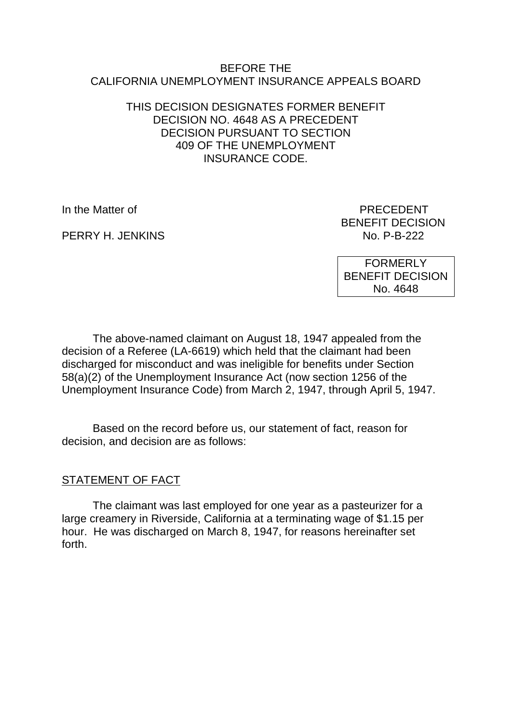#### BEFORE THE CALIFORNIA UNEMPLOYMENT INSURANCE APPEALS BOARD

#### THIS DECISION DESIGNATES FORMER BENEFIT DECISION NO. 4648 AS A PRECEDENT DECISION PURSUANT TO SECTION 409 OF THE UNEMPLOYMENT INSURANCE CODE.

PERRY H. JENKINS

In the Matter of **PRECEDENT** BENEFIT DECISION<br>No. P-B-222

> FORMERLY BENEFIT DECISION No. 4648

The above-named claimant on August 18, 1947 appealed from the decision of a Referee (LA-6619) which held that the claimant had been discharged for misconduct and was ineligible for benefits under Section 58(a)(2) of the Unemployment Insurance Act (now section 1256 of the Unemployment Insurance Code) from March 2, 1947, through April 5, 1947.

Based on the record before us, our statement of fact, reason for decision, and decision are as follows:

# STATEMENT OF FACT

The claimant was last employed for one year as a pasteurizer for a large creamery in Riverside, California at a terminating wage of \$1.15 per hour. He was discharged on March 8, 1947, for reasons hereinafter set forth.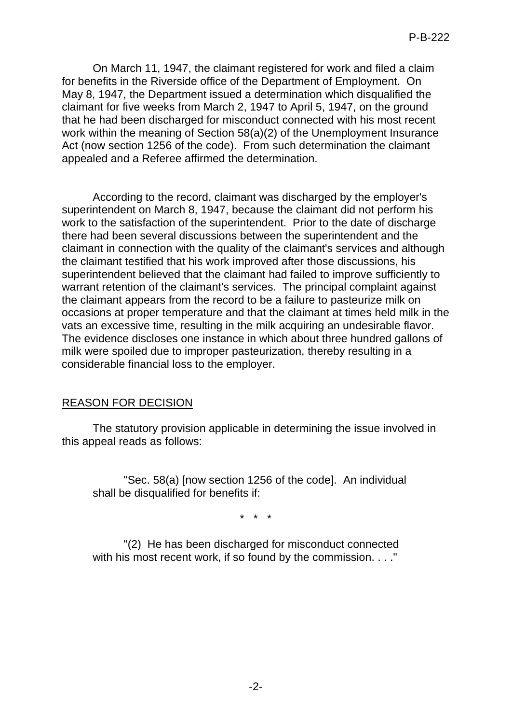On March 11, 1947, the claimant registered for work and filed a claim for benefits in the Riverside office of the Department of Employment. On May 8, 1947, the Department issued a determination which disqualified the claimant for five weeks from March 2, 1947 to April 5, 1947, on the ground that he had been discharged for misconduct connected with his most recent work within the meaning of Section 58(a)(2) of the Unemployment Insurance Act (now section 1256 of the code). From such determination the claimant appealed and a Referee affirmed the determination.

According to the record, claimant was discharged by the employer's superintendent on March 8, 1947, because the claimant did not perform his work to the satisfaction of the superintendent. Prior to the date of discharge there had been several discussions between the superintendent and the claimant in connection with the quality of the claimant's services and although the claimant testified that his work improved after those discussions, his superintendent believed that the claimant had failed to improve sufficiently to warrant retention of the claimant's services. The principal complaint against the claimant appears from the record to be a failure to pasteurize milk on occasions at proper temperature and that the claimant at times held milk in the vats an excessive time, resulting in the milk acquiring an undesirable flavor. The evidence discloses one instance in which about three hundred gallons of milk were spoiled due to improper pasteurization, thereby resulting in a considerable financial loss to the employer.

# REASON FOR DECISION

The statutory provision applicable in determining the issue involved in this appeal reads as follows:

"Sec. 58(a) [now section 1256 of the code]. An individual shall be disqualified for benefits if:

\* \* \*

"(2) He has been discharged for misconduct connected with his most recent work, if so found by the commission. . . ."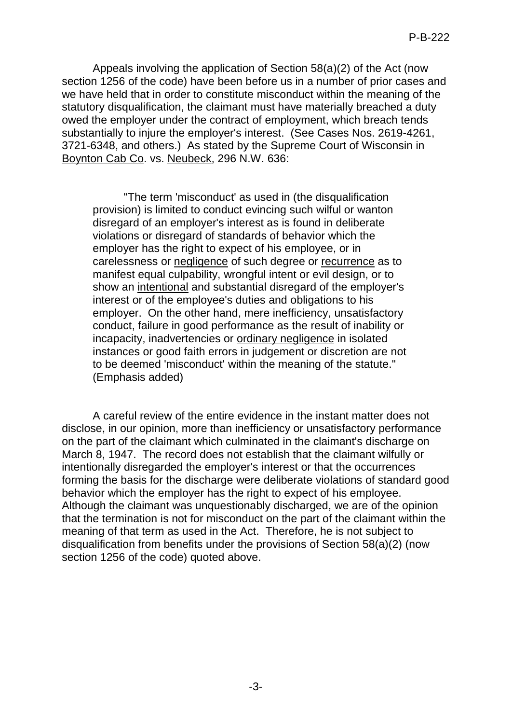Appeals involving the application of Section 58(a)(2) of the Act (now section 1256 of the code) have been before us in a number of prior cases and we have held that in order to constitute misconduct within the meaning of the statutory disqualification, the claimant must have materially breached a duty owed the employer under the contract of employment, which breach tends substantially to injure the employer's interest. (See Cases Nos. 2619-4261, 3721-6348, and others.) As stated by the Supreme Court of Wisconsin in Boynton Cab Co. vs. Neubeck, 296 N.W. 636:

"The term 'misconduct' as used in (the disqualification provision) is limited to conduct evincing such wilful or wanton disregard of an employer's interest as is found in deliberate violations or disregard of standards of behavior which the employer has the right to expect of his employee, or in carelessness or negligence of such degree or recurrence as to manifest equal culpability, wrongful intent or evil design, or to show an intentional and substantial disregard of the employer's interest or of the employee's duties and obligations to his employer. On the other hand, mere inefficiency, unsatisfactory conduct, failure in good performance as the result of inability or incapacity, inadvertencies or ordinary negligence in isolated instances or good faith errors in judgement or discretion are not to be deemed 'misconduct' within the meaning of the statute." (Emphasis added)

A careful review of the entire evidence in the instant matter does not disclose, in our opinion, more than inefficiency or unsatisfactory performance on the part of the claimant which culminated in the claimant's discharge on March 8, 1947. The record does not establish that the claimant wilfully or intentionally disregarded the employer's interest or that the occurrences forming the basis for the discharge were deliberate violations of standard good behavior which the employer has the right to expect of his employee. Although the claimant was unquestionably discharged, we are of the opinion that the termination is not for misconduct on the part of the claimant within the meaning of that term as used in the Act. Therefore, he is not subject to disqualification from benefits under the provisions of Section 58(a)(2) (now section 1256 of the code) quoted above.